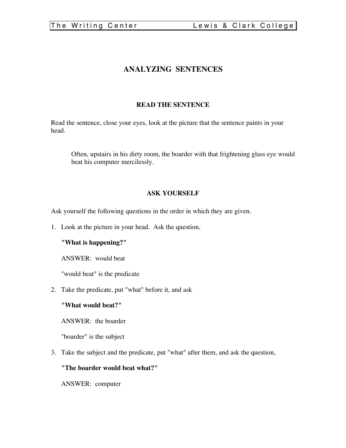# **ANALYZING SENTENCES**

# **READ THE SENTENCE**

Read the sentence, close your eyes, look at the picture that the sentence paints in your head.

Often, upstairs in his dirty room, the boarder with that frightening glass eye would beat his computer mercilessly.

# **ASK YOURSELF**

Ask yourself the following questions in the order in which they are given.

1. Look at the picture in your head. Ask the question,

## **"What is happening?"**

ANSWER: would beat

"would beat" is the predicate

2. Take the predicate, put "what" before it, and ask

## **"What would beat?"**

ANSWER: the boarder

"boarder" is the subject

3. Take the subject and the predicate, put "what" after them, and ask the question,

## **"The boarder would beat what?"**

ANSWER: computer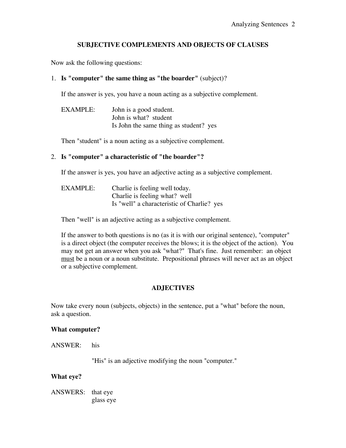# **SUBJECTIVE COMPLEMENTS AND OBJECTS OF CLAUSES**

Now ask the following questions:

#### 1. **Is "computer" the same thing as "the boarder"** (subject)?

If the answer is yes, you have a noun acting as a subjective complement.

| <b>EXAMPLE:</b> | John is a good student.                |  |
|-----------------|----------------------------------------|--|
|                 | John is what? student                  |  |
|                 | Is John the same thing as student? yes |  |

Then "student" is a noun acting as a subjective complement.

#### 2. **Is "computer" a characteristic of "the boarder"?**

If the answer is yes, you have an adjective acting as a subjective complement.

| EXAMPLE: | Charlie is feeling well today.             |  |
|----------|--------------------------------------------|--|
|          | Charlie is feeling what? well              |  |
|          | Is "well" a characteristic of Charlie? yes |  |

Then "well" is an adjective acting as a subjective complement.

If the answer to both questions is no (as it is with our original sentence), "computer" is a direct object (the computer receives the blows; it is the object of the action). You may not get an answer when you ask "what?" That's fine. Just remember: an object must be a noun or a noun substitute. Prepositional phrases will never act as an object or a subjective complement.

## **ADJECTIVES**

Now take every noun (subjects, objects) in the sentence, put a "what" before the noun, ask a question.

#### **What computer?**

ANSWER: his

"His" is an adjective modifying the noun "computer."

#### **What eye?**

ANSWERS: that eye glass eye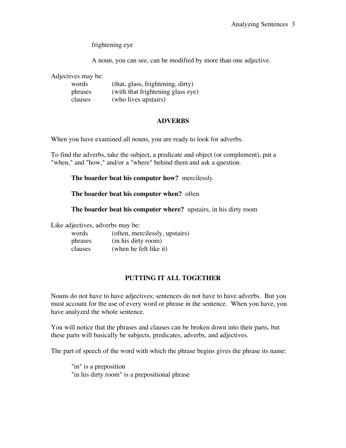frightening eye

A noun, you can see, can be modified by more than one adjective.

Adjectives may be:

| words   | (that, glass, frightening, dirty) |
|---------|-----------------------------------|
| phrases | (with that frightening glass eye) |
| clauses | (who lives upstairs)              |

#### **ADVERBS**

When you have examined all nouns, you are ready to look for adverbs.

To find the adverbs, take the subject, a predicate and object (or complement), put a "when," and "how," and/or a "where" behind them and ask a question.

#### **The boarder beat his computer how?** mercilessly

#### **The boarder beat his computer when?** often

**The boarder beat his computer where?** upstairs, in his dirty room

Like adjectives, adverbs may be:

| words   | (often, mercilessly, upstairs) |
|---------|--------------------------------|
| phrases | (in his dirty room)            |
| clauses | (when he felt like it)         |

## **PUTTING IT ALL TOGETHER**

Nouns do not have to have adjectives; sentences do not have to have adverbs. But you must account for the use of every word or phrase in the sentence. When you have, you have analyzed the whole sentence.

You will notice that the phrases and clauses can be broken down into their parts, but these parts will basically be subjects, predicates, adverbs, and adjectives.

The part of speech of the word with which the phrase begins gives the phrase its name:

"in" is a preposition "in his dirty room" is a prepositional phrase